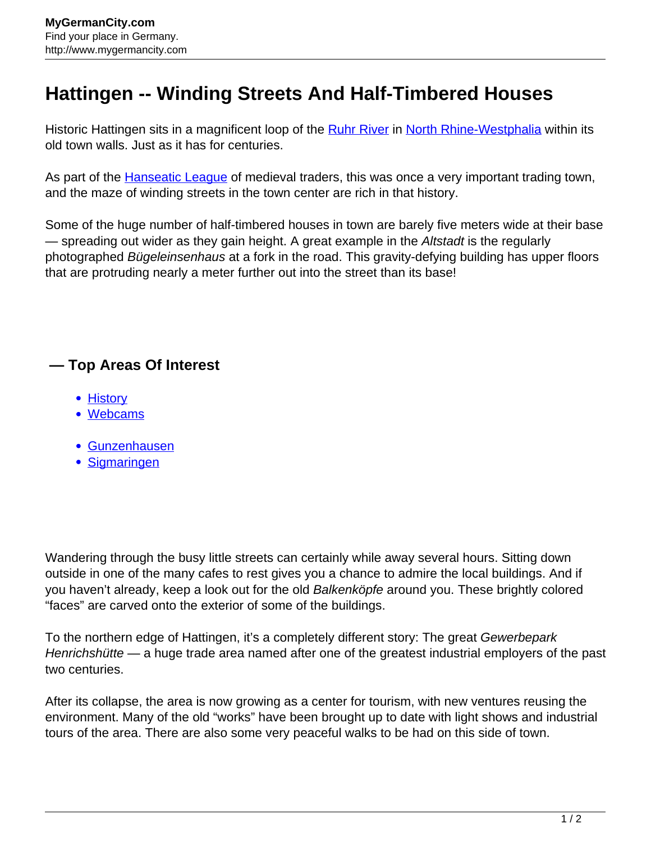## **Hattingen -- Winding Streets And Half-Timbered Houses**

Historic Hattingen sits in a magnificent loop of the **[Ruhr River](http://www.mygermancity.com/ruhr-river) in [North Rhine-Westphalia](http://www.mygermancity.com/north-rhine-westphalia)** within its old town walls. Just as it has for centuries.

As part of the **Hanseatic League** of medieval traders, this was once a very important trading town, and the maze of winding streets in the town center are rich in that history.

Some of the huge number of half-timbered houses in town are barely five meters wide at their base — spreading out wider as they gain height. A great example in the Altstadt is the regularly photographed Bügeleinsenhaus at a fork in the road. This gravity-defying building has upper floors that are protruding nearly a meter further out into the street than its base!

## **— Top Areas Of Interest**

- [History](http://www.mygermancity.com/leipzig-history)
- [Webcams](http://www.mygermancity.com/neustadt-holstein-webcams)
- [Gunzenhausen](http://www.mygermancity.com/gunzenhausen)
- [Sigmaringen](http://www.mygermancity.com/sigmaringen)

Wandering through the busy little streets can certainly while away several hours. Sitting down outside in one of the many cafes to rest gives you a chance to admire the local buildings. And if you haven't already, keep a look out for the old Balkenköpfe around you. These brightly colored "faces" are carved onto the exterior of some of the buildings.

To the northern edge of Hattingen, it's a completely different story: The great Gewerbepark Henrichshütte — a huge trade area named after one of the greatest industrial employers of the past two centuries.

After its collapse, the area is now growing as a center for tourism, with new ventures reusing the environment. Many of the old "works" have been brought up to date with light shows and industrial tours of the area. There are also some very peaceful walks to be had on this side of town.